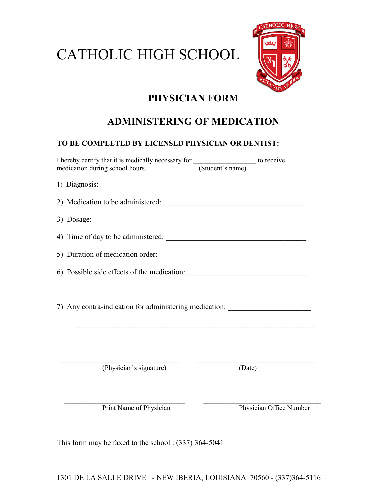## CATHOLIC HIGH SCHOOL



## PHYSICIAN FORM

## ADMINISTERING OF MEDICATION

#### TO BE COMPLETED BY LICENSED PHYSICIAN OR DENTIST:

| I hereby certify that it is medically necessary for <u>Contact of the state of</u> to receive medication during school hours.                                                                                                                                                 |  |
|-------------------------------------------------------------------------------------------------------------------------------------------------------------------------------------------------------------------------------------------------------------------------------|--|
|                                                                                                                                                                                                                                                                               |  |
|                                                                                                                                                                                                                                                                               |  |
| 3) Dosage: $\frac{1}{2}$ Dosage: $\frac{1}{2}$ Dosage: $\frac{1}{2}$ Dosage: $\frac{1}{2}$ Dosage: $\frac{1}{2}$ Dosage: $\frac{1}{2}$ Dosage: $\frac{1}{2}$ Dosage: $\frac{1}{2}$ Dosage: $\frac{1}{2}$ Dosage: $\frac{1}{2}$ Dosage: $\frac{1}{2}$ Dosage: $\frac{1}{2}$ Do |  |
|                                                                                                                                                                                                                                                                               |  |
| 5) Duration of medication order:                                                                                                                                                                                                                                              |  |
|                                                                                                                                                                                                                                                                               |  |
| <u> 1989 - Johann Harry Harry Harry Harry Harry Harry Harry Harry Harry Harry Harry Harry Harry Harry Harry Harry</u>                                                                                                                                                         |  |
| 7) Any contra-indication for administering medication: _________________________                                                                                                                                                                                              |  |
|                                                                                                                                                                                                                                                                               |  |
|                                                                                                                                                                                                                                                                               |  |
|                                                                                                                                                                                                                                                                               |  |

(Physician's signature) (Date)

 $\overline{\phantom{a}}$  , and the contribution of the contribution of  $\overline{\phantom{a}}$  , and  $\overline{\phantom{a}}$  , and  $\overline{\phantom{a}}$  , and  $\overline{\phantom{a}}$ Print Name of Physician Physician Office Number

This form may be faxed to the school : (337) 364-5041